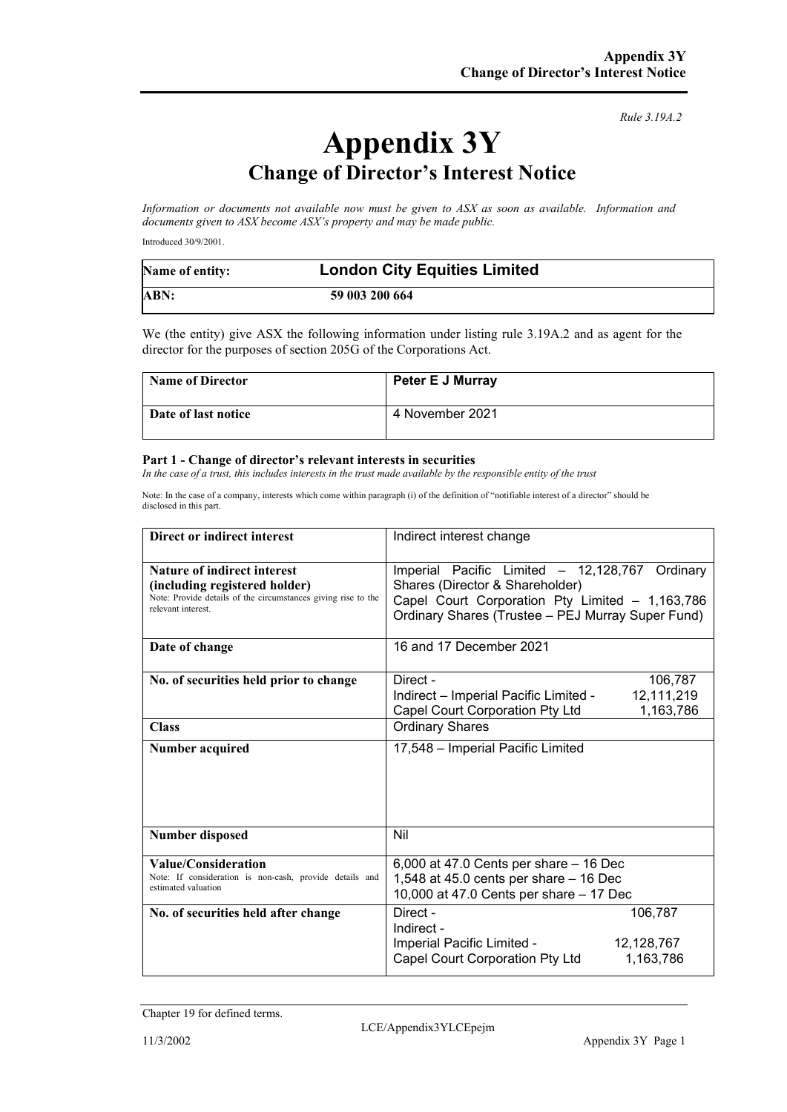*Rule 3.19A.2*

# **Appendix 3Y Change of Director's Interest Notice**

*Information or documents not available now must be given to ASX as soon as available. Information and documents given to ASX become ASX's property and may be made public.*

Introduced 30/9/2001.

| Name of entity: | <b>London City Equities Limited</b> |
|-----------------|-------------------------------------|
| ABN:            | 59 003 200 664                      |

We (the entity) give ASX the following information under listing rule 3.19A.2 and as agent for the director for the purposes of section 205G of the Corporations Act.

| <b>Name of Director</b> | <b>Peter E J Murray</b> |
|-------------------------|-------------------------|
| Date of last notice     | 4 November 2021         |

#### **Part 1 - Change of director's relevant interests in securities**

*In the case of a trust, this includes interests in the trust made available by the responsible entity of the trust*

Note: In the case of a company, interests which come within paragraph (i) of the definition of "notifiable interest of a director" should be disclosed in this part.

| Direct or indirect interest                                                         | Indirect interest change                                                                             |  |
|-------------------------------------------------------------------------------------|------------------------------------------------------------------------------------------------------|--|
| <b>Nature of indirect interest</b><br>(including registered holder)                 | Imperial Pacific Limited - 12,128,767<br>Ordinary<br>Shares (Director & Shareholder)                 |  |
| Note: Provide details of the circumstances giving rise to the<br>relevant interest. | Capel Court Corporation Pty Limited - 1,163,786<br>Ordinary Shares (Trustee - PEJ Murray Super Fund) |  |
| Date of change                                                                      | 16 and 17 December 2021                                                                              |  |
| No. of securities held prior to change                                              | Direct -<br>106,787                                                                                  |  |
|                                                                                     | Indirect - Imperial Pacific Limited -<br>12,111,219                                                  |  |
|                                                                                     | 1,163,786<br>Capel Court Corporation Pty Ltd                                                         |  |
| <b>Class</b>                                                                        | <b>Ordinary Shares</b>                                                                               |  |
| <b>Number acquired</b>                                                              | 17,548 - Imperial Pacific Limited                                                                    |  |
| <b>Number disposed</b>                                                              | Nil                                                                                                  |  |
| Value/Consideration                                                                 | 6,000 at 47.0 Cents per share - 16 Dec                                                               |  |
| Note: If consideration is non-cash, provide details and<br>estimated valuation      | 1,548 at 45.0 cents per share - 16 Dec<br>10,000 at 47.0 Cents per share - 17 Dec                    |  |
| No. of securities held after change                                                 | Direct -<br>106,787<br>Indirect -                                                                    |  |
|                                                                                     | Imperial Pacific Limited -<br>12,128,767                                                             |  |
|                                                                                     | Capel Court Corporation Pty Ltd<br>1,163,786                                                         |  |

Chapter 19 for defined terms.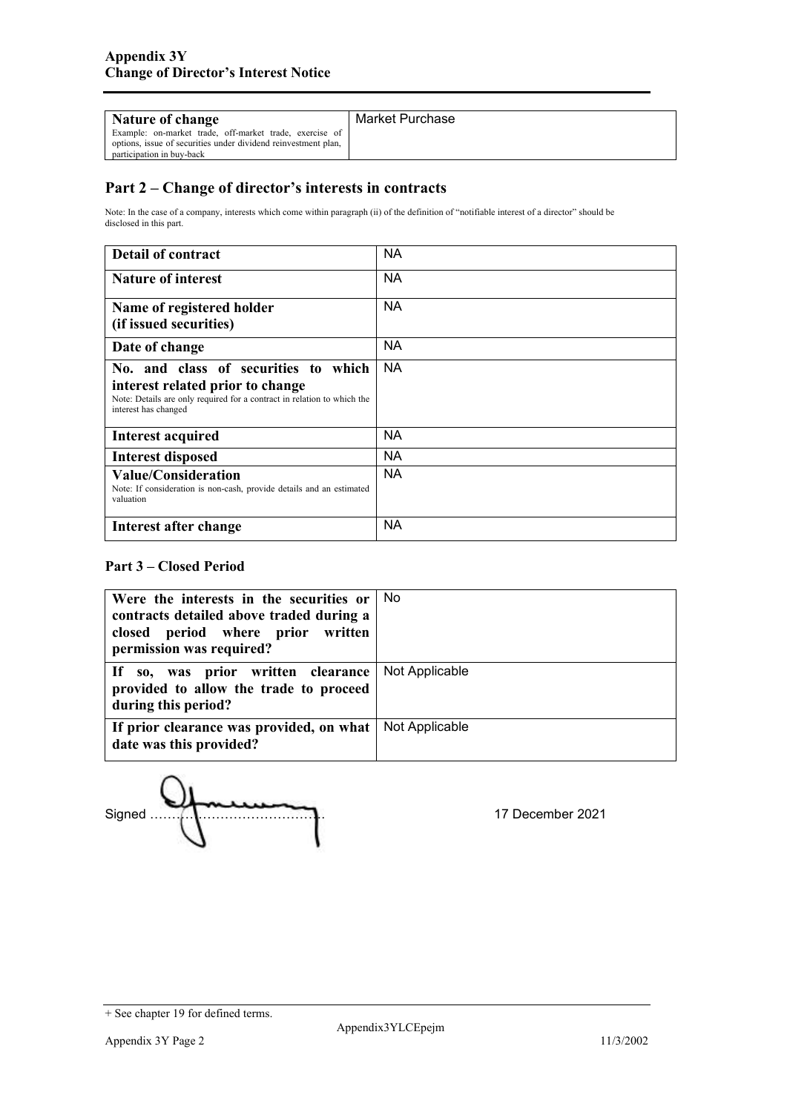| Nature of change                                                                                                                                       | Market Purchase |
|--------------------------------------------------------------------------------------------------------------------------------------------------------|-----------------|
| Example: on-market trade, off-market trade, exercise of<br>options, issue of securities under dividend reinvestment plan,<br>participation in buy-back |                 |

## **Part 2 – Change of director's interests in contracts**

Note: In the case of a company, interests which come within paragraph (ii) of the definition of "notifiable interest of a director" should be disclosed in this part.

| <b>Detail of contract</b>                                                                                                                                                   | <b>NA</b> |
|-----------------------------------------------------------------------------------------------------------------------------------------------------------------------------|-----------|
| <b>Nature of interest</b>                                                                                                                                                   | <b>NA</b> |
| Name of registered holder<br>(if issued securities)                                                                                                                         | <b>NA</b> |
| Date of change                                                                                                                                                              | <b>NA</b> |
| No. and class of securities to which<br>interest related prior to change<br>Note: Details are only required for a contract in relation to which the<br>interest has changed | NA.       |
| <b>Interest acquired</b>                                                                                                                                                    | NA.       |
| <b>Interest disposed</b>                                                                                                                                                    | NA.       |
| <b>Value/Consideration</b><br>Note: If consideration is non-cash, provide details and an estimated<br>valuation                                                             | <b>NA</b> |
| Interest after change                                                                                                                                                       | NA        |

### **Part 3 – Closed Period**

| Were the interests in the securities or No<br>contracts detailed above traded during a              |                |
|-----------------------------------------------------------------------------------------------------|----------------|
| closed period where prior written<br>permission was required?                                       |                |
| If so, was prior written clearance<br>provided to allow the trade to proceed<br>during this period? | Not Applicable |
| If prior clearance was provided, on what<br>date was this provided?                                 | Not Applicable |

Signed …………………………………. 17 December 2021

<sup>+</sup> See chapter 19 for defined terms.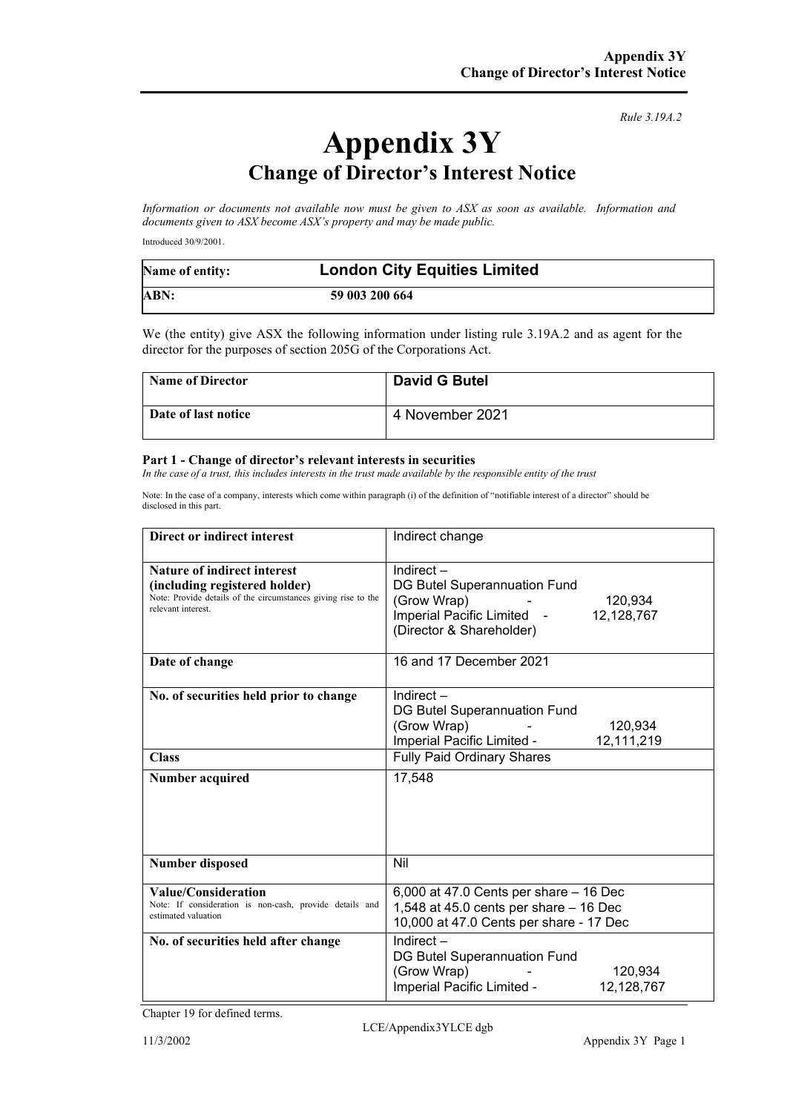*Rule 3.19A.2*

# **Appendix 3Y Change of Director's Interest Notice**

*Information or documents not available now must be given to ASX as soon as available. Information and documents given to ASX become ASX's property and may be made public.*

Introduced 30/9/2001.

| Name of entity: | <b>London City Equities Limited</b> |
|-----------------|-------------------------------------|
| ABN:            | 59 003 200 664                      |

We (the entity) give ASX the following information under listing rule 3.19A.2 and as agent for the director for the purposes of section 205G of the Corporations Act.

| <b>Name of Director</b> | <b>David G Butel</b> |
|-------------------------|----------------------|
| Date of last notice     | 4 November 2021      |

#### **Part 1 - Change of director's relevant interests in securities**

*In the case of a trust, this includes interests in the trust made available by the responsible entity of the trust* 

Note: In the case of a company, interests which come within paragraph (i) of the definition of "notifiable interest of a director" should be disclosed in this part.

| Direct or indirect interest                                                                                                                                | Indirect change                                                                                                                                                   |  |
|------------------------------------------------------------------------------------------------------------------------------------------------------------|-------------------------------------------------------------------------------------------------------------------------------------------------------------------|--|
| <b>Nature of indirect interest</b><br>(including registered holder)<br>Note: Provide details of the circumstances giving rise to the<br>relevant interest. | Indirect $-$<br>DG Butel Superannuation Fund<br>(Grow Wrap)<br>120,934<br>Imperial Pacific Limited -<br>12,128,767<br>(Director & Shareholder)                    |  |
| Date of change                                                                                                                                             | 16 and 17 December 2021                                                                                                                                           |  |
| No. of securities held prior to change<br><b>Class</b><br>Number acquired                                                                                  | Indirect $-$<br>DG Butel Superannuation Fund<br>(Grow Wrap)<br>120,934<br>Imperial Pacific Limited -<br>12,111,219<br><b>Fully Paid Ordinary Shares</b><br>17,548 |  |
| <b>Number disposed</b>                                                                                                                                     | Nil                                                                                                                                                               |  |
| Value/Consideration<br>Note: If consideration is non-cash, provide details and<br>estimated valuation                                                      | 6,000 at 47.0 Cents per share - 16 Dec<br>1,548 at 45.0 cents per share $-$ 16 Dec<br>10,000 at 47.0 Cents per share - 17 Dec                                     |  |
| No. of securities held after change                                                                                                                        | Indirect $-$<br>DG Butel Superannuation Fund<br>(Grow Wrap)<br>120.934<br>Imperial Pacific Limited -<br>12,128,767                                                |  |

Chapter 19 for defined terms.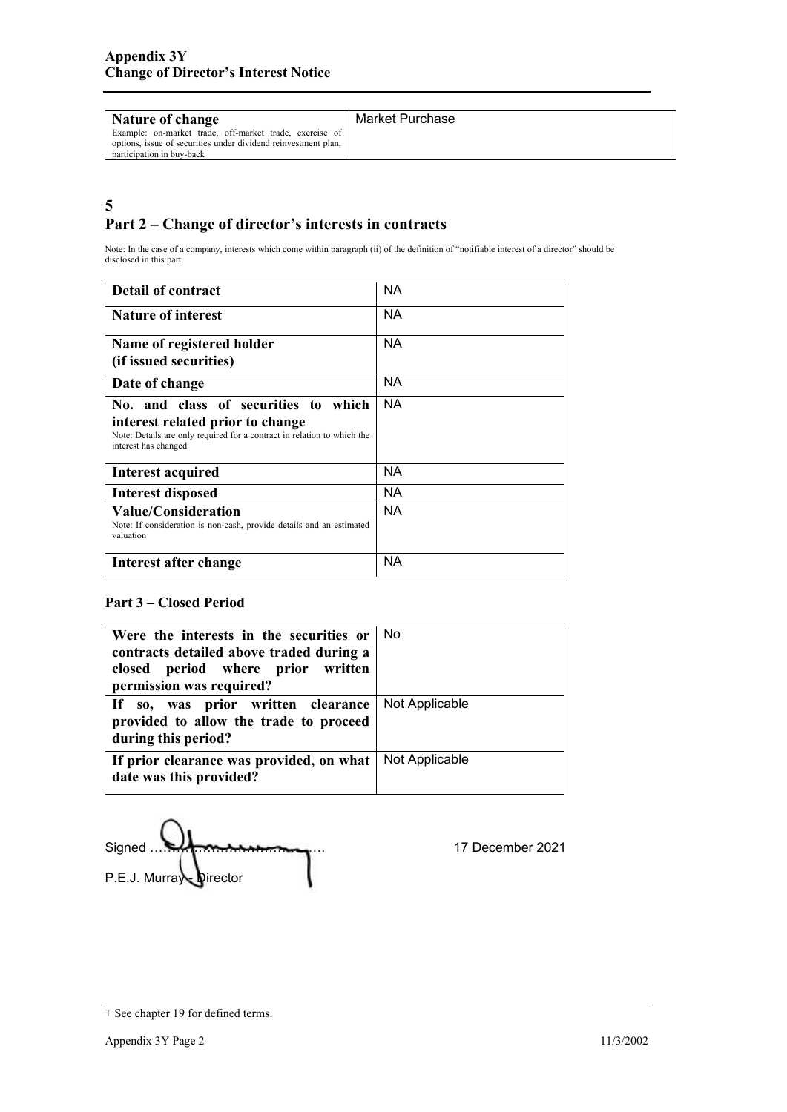| <b>Nature of change</b>                                                                                                                                | Market Purchase |
|--------------------------------------------------------------------------------------------------------------------------------------------------------|-----------------|
| Example: on-market trade, off-market trade, exercise of<br>options, issue of securities under dividend reinvestment plan,<br>participation in buy-back |                 |

## **5 Part 2 – Change of director's interests in contracts**

Note: In the case of a company, interests which come within paragraph (ii) of the definition of "notifiable interest of a director" should be disclosed in this part.

| <b>Detail of contract</b>                                                                                                                                                      | ΝA        |
|--------------------------------------------------------------------------------------------------------------------------------------------------------------------------------|-----------|
| <b>Nature of interest</b>                                                                                                                                                      | NA.       |
| Name of registered holder<br>(if issued securities)                                                                                                                            | NA.       |
| Date of change                                                                                                                                                                 | <b>NA</b> |
| No. and class of securities to<br>which<br>interest related prior to change<br>Note: Details are only required for a contract in relation to which the<br>interest has changed | NA.       |
| <b>Interest acquired</b>                                                                                                                                                       | <b>NA</b> |
| <b>Interest disposed</b>                                                                                                                                                       | ΝA        |
| <b>Value/Consideration</b><br>Note: If consideration is non-cash, provide details and an estimated<br>valuation                                                                | NA.       |
| Interest after change                                                                                                                                                          | <b>NA</b> |

## **Part 3 – Closed Period**

| Were the interests in the securities or<br>contracts detailed above traded during a<br>closed period where prior written<br>permission was required? | . No           |
|------------------------------------------------------------------------------------------------------------------------------------------------------|----------------|
| If so, was prior written clearance<br>provided to allow the trade to proceed<br>during this period?                                                  | Not Applicable |
| If prior clearance was provided, on what<br>date was this provided?                                                                                  | Not Applicable |

| Signed                 |  |
|------------------------|--|
| P.E.J. Murray Director |  |

17 December 2021

<sup>+</sup> See chapter 19 for defined terms.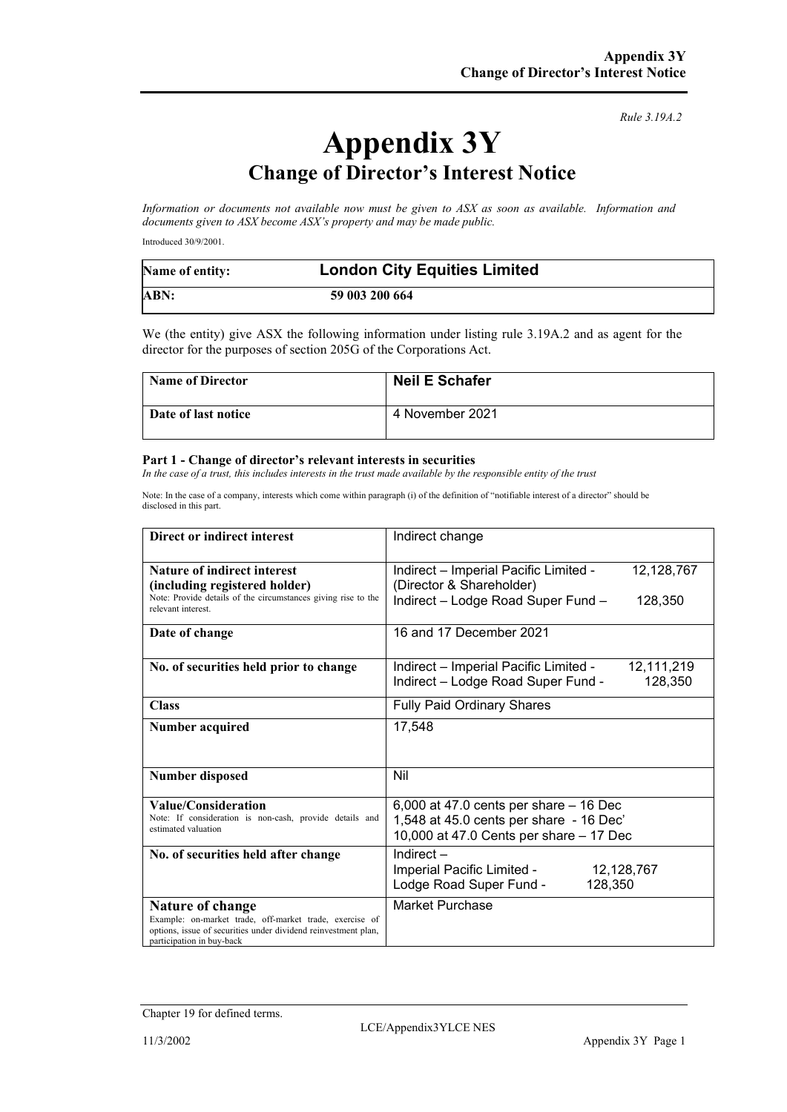*Rule 3.19A.2*

# **Appendix 3Y Change of Director's Interest Notice**

*Information or documents not available now must be given to ASX as soon as available. Information and documents given to ASX become ASX's property and may be made public.*

Introduced 30/9/2001.

| Name of entity: | <b>London City Equities Limited</b> |
|-----------------|-------------------------------------|
| ABN:            | 59 003 200 664                      |

We (the entity) give ASX the following information under listing rule 3.19A.2 and as agent for the director for the purposes of section 205G of the Corporations Act.

| <b>Name of Director</b> | <b>Neil E Schafer</b> |
|-------------------------|-----------------------|
| Date of last notice     | 4 November 2021       |

#### **Part 1 - Change of director's relevant interests in securities**

*In the case of a trust, this includes interests in the trust made available by the responsible entity of the trust*

Note: In the case of a company, interests which come within paragraph (i) of the definition of "notifiable interest of a director" should be disclosed in this part.

| Direct or indirect interest                                                                                                                                                       | Indirect change                                                                                                                  |  |
|-----------------------------------------------------------------------------------------------------------------------------------------------------------------------------------|----------------------------------------------------------------------------------------------------------------------------------|--|
| Nature of indirect interest<br>(including registered holder)<br>Note: Provide details of the circumstances giving rise to the                                                     | Indirect - Imperial Pacific Limited -<br>12,128,767<br>(Director & Shareholder)<br>Indirect - Lodge Road Super Fund -<br>128,350 |  |
| relevant interest.                                                                                                                                                                |                                                                                                                                  |  |
| Date of change                                                                                                                                                                    | 16 and 17 December 2021                                                                                                          |  |
| No. of securities held prior to change                                                                                                                                            | Indirect - Imperial Pacific Limited -<br>12,111,219<br>Indirect - Lodge Road Super Fund -<br>128,350                             |  |
| <b>Class</b>                                                                                                                                                                      | <b>Fully Paid Ordinary Shares</b>                                                                                                |  |
| <b>Number acquired</b>                                                                                                                                                            | 17,548                                                                                                                           |  |
| <b>Number disposed</b>                                                                                                                                                            | Nil                                                                                                                              |  |
| Value/Consideration<br>Note: If consideration is non-cash, provide details and<br>estimated valuation                                                                             | 6,000 at 47.0 cents per share $-$ 16 Dec<br>1,548 at 45.0 cents per share - 16 Dec'<br>10,000 at 47.0 Cents per share - 17 Dec   |  |
| No. of securities held after change                                                                                                                                               | Indirect $-$<br>Imperial Pacific Limited -<br>12,128,767<br>Lodge Road Super Fund -<br>128,350                                   |  |
| <b>Nature of change</b><br>Example: on-market trade, off-market trade, exercise of<br>options, issue of securities under dividend reinvestment plan,<br>participation in buy-back | Market Purchase                                                                                                                  |  |

Chapter 19 for defined terms.